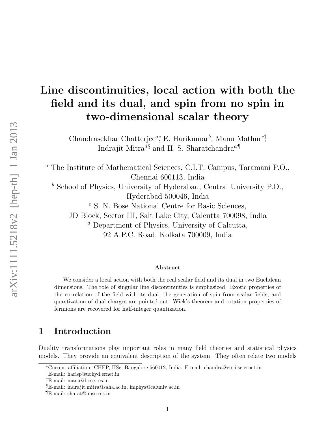# Line discontinuities, local action with both the field and its dual, and spin from no spin in two-dimensional scalar theory

Chandrasekhar Chatterjee<sup>a</sup><sup>\*</sup>, E. Harikumar<sup>b†</sup>, Manu Mathur<sup>c‡</sup>, Indrajit Mitra $d$ <sup>§</sup> and H. S. Sharatchandra<sup>a¶</sup>

<sup>a</sup> The Institute of Mathematical Sciences, C.I.T. Campus, Taramani P.O., Chennai 600113, India

 $<sup>b</sup>$  School of Physics, University of Hyderabad, Central University P.O.,</sup> Hyderabad 500046, India

<sup>c</sup> S. N. Bose National Centre for Basic Sciences,

JD Block, Sector III, Salt Lake City, Calcutta 700098, India

 $d$  Department of Physics, University of Calcutta,

92 A.P.C. Road, Kolkata 700009, India

#### Abstract

We consider a local action with both the real scalar field and its dual in two Euclidean dimensions. The role of singular line discontinuities is emphasized. Exotic properties of the correlation of the field with its dual, the generation of spin from scalar fields, and quantization of dual charges are pointed out. Wick's theorem and rotation properties of fermions are recovered for half-integer quantization.

### 1 Introduction

Duality transformations play important roles in many field theories and statistical physics models. They provide an equivalent description of the system. They often relate two models

<sup>∗</sup>Current affiliation: CHEP, IISc, Bangalore 560012, India. E-mail: chandra@cts.iisc.ernet.in

<sup>†</sup>E-mail: harisp@uohyd.ernet.in

<sup>‡</sup>E-mail: manu@bose.res.in

<sup>§</sup>E-mail: indrajit.mitra@saha.ac.in, imphys@caluniv.ac.in

<sup>¶</sup>E-mail: sharat@imsc.res.in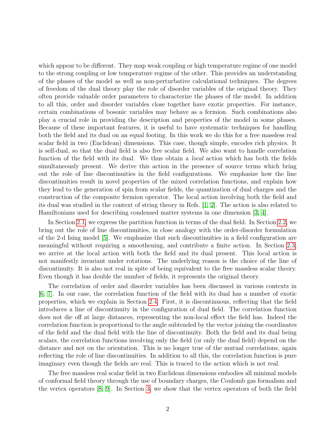which appear to be different. They map weak coupling or high temperature regime of one model to the strong coupling or low temperature regime of the other. This provides an understanding of the phases of the model as well as non-perturbative calculational techniques. The degrees of freedom of the dual theory play the role of disorder variables of the original theory. They often provide valuable order parameters to characterize the phases of the model. In addition to all this, order and disorder variables close together have exotic properties. For instance, certain combinations of bosonic variables may behave as a fermion. Such combinations also play a crucial role in providing the description and properties of the model in some phases. Because of these important features, it is useful to have systematic techniques for handling both the field and its dual on an equal footing. In this work we do this for a free massless real scalar field in two (Euclidean) dimensions. This case, though simple, encodes rich physics. It is self-dual, so that the dual field is also free scalar field. We also want to handle correlation function of the field with its dual. We thus obtain a *local* action which has both the fields simultaneously present. We derive this action in the presence of source terms which bring out the role of line discontinuities in the field configurations. We emphasize how the line discontinuities result in novel properties of the mixed correlation functions, and explain how they lead to the generation of spin from scalar fields, the quantization of dual charges and the construction of the composite fermion operator. The local action involving both the field and its dual was studied in the context of string theory in Refs. [\[1,](#page-17-0) [2\]](#page-17-1). The action is also related to Hamiltonians used for describing condensed matter systems in one dimension [\[3,](#page-17-2) [4\]](#page-17-3).

In Section [2.1,](#page-2-0) we express the partition function in terms of the dual field. In Section [2.2,](#page-4-0) we bring out the role of line discontinuities, in close analogy with the order-disorder formulation of the 2-d Ising model [\[5\]](#page-17-4). We emphasize that such discontinuities in a field configuration are meaningful without requiring a smoothening, and contribute a finite action. In Section [2.3,](#page-4-1) we arrive at the local action with both the field and its dual present. This local action is not manifestly invariant under rotations. The underlying reason is the choice of the line of discontinuity. It is also not real in spite of being equivalent to the free massless scalar theory. Even though it has double the number of fields, it represents the original theory.

The correlation of order and disorder variables has been discussed in various contexts in [\[6,](#page-17-5) [7\]](#page-17-6). In our case, the correlation function of the field with its dual has a number of exotic properties, which we explain in Section [2.4.](#page-5-0) First, it is discontinuous, reflecting that the field introduces a line of discontinuity in the configuration of dual field. The correlation function does not die off at large distances, representing the non-local effect the field has. Indeed the correlation function is proportional to the angle subtended by the vector joining the coordinates of the field and the dual field with the line of discontinuity. Both the field and its dual being scalars, the correlation functions involving only the field (or only the dual field) depend on the distance and not on the orientation. This is no longer true of the mutual correlations, again reflecting the role of line discontinuities. In addition to all this, the correlation function is pure imaginary even though the fields are real. This is traced to the action which is not real.

The free massless real scalar field in two Euclidean dimensions embodies all minimal models of conformal field theory through the use of boundary charges, the Coulomb gas formalism and the vertex operators [\[8,](#page-17-7) [9\]](#page-17-8). In Section [3,](#page-8-0) we show that the vertex operators of both the field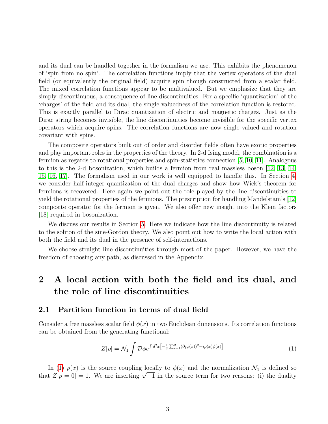and its dual can be handled together in the formalism we use. This exhibits the phenomenon of 'spin from no spin'. The correlation functions imply that the vertex operators of the dual field (or equivalently the original field) acquire spin though constructed from a scalar field. The mixed correlation functions appear to be multivalued. But we emphasize that they are simply discontinuous, a consequence of line discontinuities. For a specific 'quantization' of the 'charges' of the field and its dual, the single valuedness of the correlation function is restored. This is exactly parallel to Dirac quantization of electric and magnetic charges. Just as the Dirac string becomes invisible, the line discontinuities become invisible for the specific vertex operators which acquire spins. The correlation functions are now single valued and rotation covariant with spins.

The composite operators built out of order and disorder fields often have exotic properties and play important roles in the properties of the theory. In 2-d Ising model, the combination is a fermion as regards to rotational properties and spin-statistics connection [\[5,](#page-17-4) [10,](#page-17-9) [11\]](#page-17-10). Analogous to this is the 2-d bosonization, which builds a fermion from real massless boson [\[12,](#page-17-11) [13,](#page-18-0) [14,](#page-18-1) [15,](#page-18-2) [16,](#page-18-3) [17\]](#page-18-4). The formalism used in our work is well equipped to handle this. In Section [4,](#page-10-0) we consider half-integer quantization of the dual charges and show how Wick's theorem for fermions is recovered. Here again we point out the role played by the line discontinuities to yield the rotational properties of the fermions. The prescription for handling Mandelstam's [\[12\]](#page-17-11) composite operator for the fermion is given. We also offer new insight into the Klein factors [\[18\]](#page-18-5) required in bosonization.

We discuss our results in Section [5.](#page-13-0) Here we indicate how the line discontinuity is related to the soliton of the sine-Gordon theory. We also point out how to write the local action with both the field and its dual in the presence of self-interactions.

We choose straight line discontinuities through most of the paper. However, we have the freedom of choosing any path, as discussed in the Appendix.

# 2 A local action with both the field and its dual, and the role of line discontinuities

#### <span id="page-2-0"></span>2.1 Partition function in terms of dual field

Consider a free massless scalar field  $\phi(x)$  in two Euclidean dimensions. Its correlation functions can be obtained from the generating functional:

<span id="page-2-1"></span>
$$
Z[\rho] = \mathcal{N}_1 \int \mathcal{D}\phi e^{\int d^2x \left[-\frac{1}{2}\sum_{i=1}^2 (\partial_i \phi(x))^2 + i\rho(x)\phi(x)\right]} \tag{1}
$$

In [\(1\)](#page-2-1)  $\rho(x)$  is the source coupling locally to  $\phi(x)$  and the normalization  $\mathcal{N}_1$  is defined so In (1)  $\rho(x)$  is the source coupling locally to  $\varphi(x)$  and the normalization  $\mathcal{N}_1$  is defined so<br>that  $Z[\rho = 0] = 1$ . We are inserting  $\sqrt{-1}$  in the source term for two reasons: (i) the duality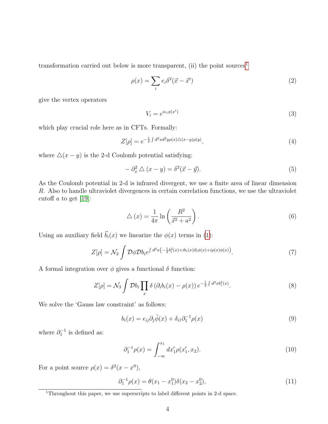transformation carried out below is more transparent, (ii) the point sources<sup>[1](#page-3-0)</sup>

<span id="page-3-3"></span>
$$
\rho(x) = \sum_{i} e_i \delta^2(\vec{x} - \vec{x}^i)
$$
\n(2)

give the vertex operators

$$
V_i = e^{ie_i \phi(x^i)} \tag{3}
$$

which play crucial role here as in CFTs. Formally:

<span id="page-3-2"></span>
$$
Z[\rho] = e^{-\frac{1}{2}\int d^2x d^2y \rho(x)\triangle(x-y)\rho(y)},\tag{4}
$$

where  $\Delta(x - y)$  is the 2-d Coulomb potential satisfying:

$$
-\partial_x^2 \triangle (x - y) = \delta^2 (\vec{x} - \vec{y}). \tag{5}
$$

As the Coulomb potential in 2-d is infrared divergent, we use a finite area of linear dimension R. Also to handle ultraviolet divergences in certain correlation functions, we use the ultraviolet cutoff a to get  $[19]$ :

<span id="page-3-4"></span>
$$
\triangle(x) = \frac{1}{4\pi} \ln\left(\frac{R^2}{\vec{x}^2 + a^2}\right). \tag{6}
$$

Using an auxiliary field  $\vec{b}_i(x)$  we linearize the  $\phi(x)$  terms in [\(1\)](#page-2-1):

$$
Z[\rho] = \mathcal{N}_2 \int \mathcal{D}\phi \mathcal{D}b_i e^{\int d^2x \left(-\frac{1}{2}b_i^2(x) + ib_i(x)\partial_i\phi(x) + i\rho(x)\phi(x)\right)}.
$$
 (7)

A formal integration over  $\phi$  gives a functional  $\delta$  function:

<span id="page-3-5"></span>
$$
Z[\rho] = \mathcal{N}_3 \int \mathcal{D}b_i \prod_x \delta\left(\partial_i b_i(x) - \rho(x)\right) e^{-\frac{1}{2} \int d^2x b_i^2(x)}.
$$
 (8)

We solve the 'Gauss law constraint' as follows:

<span id="page-3-1"></span>
$$
b_i(x) = \epsilon_{ij}\partial_j \tilde{\phi}(x) + \delta_{i1}\partial_1^{-1}\rho(x)
$$
\n(9)

where  $\partial_1^{-1}$  is defined as:

$$
\partial_1^{-1} \rho(x) = \int_{-\infty}^{x_1} dx'_1 \rho(x'_1, x_2). \tag{10}
$$

For a point source  $\rho(x) = \delta^2(x - x^0)$ ,

$$
\partial_1^{-1} \rho(x) = \theta(x_1 - x_1^0) \delta(x_2 - x_2^0), \tag{11}
$$

<span id="page-3-0"></span><sup>&</sup>lt;sup>1</sup>Throughout this paper, we use superscripts to label different points in 2-d space.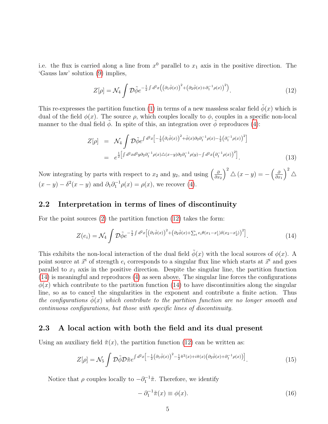i.e. the flux is carried along a line from  $x^0$  parallel to  $x_1$  axis in the positive direction. The 'Gauss law' solution [\(9\)](#page-3-1) implies,

<span id="page-4-2"></span>
$$
Z[\rho] = \mathcal{N}_4 \int \mathcal{D}\tilde{\phi} e^{-\frac{1}{2}\int d^2x \left( \left( \partial_1 \tilde{\phi}(x) \right)^2 + \left( \partial_2 \tilde{\phi}(x) + \partial_1^{-1} \rho(x) \right)^2 \right)}.
$$
 (12)

This re-expresses the partition function [\(1\)](#page-2-1) in terms of a new massless scalar field  $\tilde{\phi}(x)$  which is dual of the field  $\phi(x)$ . The source  $\rho$ , which couples locally to  $\phi$ , couples in a specific non-local manner to the dual field  $\phi$ . In spite of this, an integration over  $\phi$  reproduces [\(4\)](#page-3-2):

$$
Z[\rho] = \mathcal{N}_4 \int \mathcal{D}\tilde{\phi} e^{\int d^2x \left[ -\frac{1}{2} \left( \partial_i \tilde{\phi}(x) \right)^2 + \tilde{\phi}(x) \partial_2 \partial_1^{-1} \rho(x) - \frac{1}{2} \left( \partial_1^{-1} \rho(x) \right)^2 \right]} = e^{\frac{1}{2} \left[ \int d^2x d^2y \partial_2 \partial_1^{-1} \rho(x) \triangle (x-y) \partial_2 \partial_1^{-1} \rho(y) - \int d^2x \left( \partial_1^{-1} \rho(x) \right)^2 \right]}.
$$
(13)

Now integrating by parts with respect to  $x_2$  and  $y_2$ , and using  $\left(\frac{\partial}{\partial x_1}, \frac{\partial}{\partial y_2}, y_1, \frac{\partial}{\partial y_1}, y_2, \frac{\partial}{\partial y_2}, y_1, \frac{\partial}{\partial y_2}, y_2, \frac{\partial}{\partial y_1}, y_2, \frac{\partial}{\partial y_2}, y_1, y_2, \frac{\partial}{\partial y_2}, y_2, y_1, y_2, \frac{\partial}{\partial y_1}, y_2, y_1, y_2$  $\partial x_2$  $\int_{0}^{2} \triangle (x - y) = - \left( \frac{\partial}{\partial x} \right)$  $\partial x_1$  $\big)^2 \triangle$  $(x - y) - \delta^2(x - y)$  and  $\partial_1 \partial_1^{-1} \rho(x) = \rho(x)$ , we recover [\(4\)](#page-3-2).

#### <span id="page-4-0"></span>2.2 Interpretation in terms of lines of discontinuity

For the point sources [\(2\)](#page-3-3) the partition function [\(12\)](#page-4-2) takes the form:

<span id="page-4-3"></span>
$$
Z(e_i) = \mathcal{N}_4 \int \mathcal{D}\tilde{\phi} e^{-\frac{1}{2}\int d^2x \left[ \left( \partial_1 \tilde{\phi}(x) \right)^2 + \left( \partial_2 \tilde{\phi}(x) + \sum_i e_i \theta(x_1 - x_1^i) \delta(x_2 - x_2^i) \right)^2 \right]}.
$$
 (14)

This exhibits the non-local interaction of the dual field  $\tilde{\phi}(x)$  with the local sources of  $\phi(x)$ . A point source at  $\vec{x}^i$  of strength  $e_i$  corresponds to a singular flux line which starts at  $\vec{x}^i$  and goes parallel to  $x_1$  axis in the positive direction. Despite the singular line, the partition function [\(14\)](#page-4-3) is meaningful and reproduces [\(4\)](#page-3-2) as seen above. The singular line forces the configurations  $\phi(x)$  which contribute to the partition function [\(14\)](#page-4-3) to have discontinuities along the singular line, so as to cancel the singularities in the exponent and contribute a finite action. Thus the configurations  $\phi(x)$  which contribute to the partition function are no longer smooth and continuous configurations, but those with specific lines of discontinuity.

#### <span id="page-4-1"></span>2.3 A local action with both the field and its dual present

Using an auxiliary field  $\tilde{\pi}(x)$ , the partition function [\(12\)](#page-4-2) can be written as:

<span id="page-4-4"></span>
$$
Z[\rho] = \mathcal{N}_5 \int \mathcal{D}\tilde{\phi} \mathcal{D}\tilde{\pi} e^{\int d^2x \left[ -\frac{1}{2} \left( \partial_1 \tilde{\phi}(x) \right)^2 - \frac{1}{2} \tilde{\pi}^2(x) + i \tilde{\pi}(x) \left( \partial_2 \tilde{\phi}(x) + \partial_1^{-1} \rho(x) \right) \right]} . \tag{15}
$$

Notice that  $\rho$  couples locally to  $-\partial_1^{-1}\tilde{\pi}$ . Therefore, we identify

<span id="page-4-5"></span>
$$
-\partial_1^{-1}\tilde{\pi}(x) \equiv \phi(x). \tag{16}
$$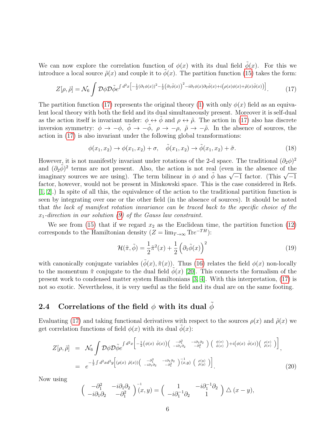We can now explore the correlation function of  $\phi(x)$  with its dual field  $\tilde{\phi}(x)$ . For this we introduce a local source  $\tilde{\rho}(x)$  and couple it to  $\phi(x)$ . The partition function [\(15\)](#page-4-4) takes the form:

<span id="page-5-1"></span>
$$
Z[\rho,\tilde{\rho}] = \mathcal{N}_6 \int \mathcal{D}\phi \mathcal{D}\tilde{\phi} e^{\int d^2x \left[ -\frac{1}{2} (\partial_1 \phi(x))^2 - \frac{1}{2} (\partial_1 \tilde{\phi}(x))^2 - i \partial_1 \phi(x) \partial_2 \tilde{\phi}(x) + i (\rho(x) \phi(x) + \tilde{\rho}(x) \tilde{\phi}(x)) \right]}.
$$
 (17)

The partition function [\(17\)](#page-5-1) represents the original theory [\(1\)](#page-2-1) with only  $\phi(x)$  field as an equivalent local theory with both the field and its dual simultaneously present. Moreover it is self-dual as the action itself is invariant under:  $\phi \leftrightarrow \tilde{\phi}$  and  $\rho \leftrightarrow \tilde{\rho}$ . The action in [\(17\)](#page-5-1) also has discrete inversion symmetry:  $\phi \to -\phi$ ,  $\tilde{\phi} \to -\tilde{\phi}$ ,  $\rho \to -\rho$ ,  $\tilde{\rho} \to -\tilde{\rho}$ . In the absence of sources, the action in [\(17\)](#page-5-1) is also invariant under the following global transformations:

<span id="page-5-3"></span>
$$
\phi(x_1, x_2) \to \phi(x_1, x_2) + \sigma, \quad \tilde{\phi}(x_1, x_2) \to \tilde{\phi}(x_1, x_2) + \tilde{\sigma}.
$$
\n(18)

However, it is not manifestly invariant under rotations of the 2-d space. The traditional  $(\partial_2 \phi)^2$ and  $(\partial_2 \tilde{\phi})^2$  terms are not present. Also, the action is not real (even in the absence of the and  $(\nu_2 \varphi)$  terms are not present. Also, the action is not real (even in the absence of the<br>imaginary sources we are using). The term bilinear in  $\phi$  and  $\tilde{\phi}$  has  $\sqrt{-1}$  factor. (This  $\sqrt{-1}$ factor, however, would not be present in Minkowski space. This is the case considered in Refs. [\[1,](#page-17-0) [2\]](#page-17-1).) In spite of all this, the equivalence of the action to the traditional partition function is seen by integrating over one or the other field (in the absence of sources). It should be noted that the lack of manifest rotation invariance can be traced back to the specific choice of the  $x_1$ -direction in our solution [\(9\)](#page-3-1) of the Gauss law constraint.

We see from [\(15\)](#page-4-4) that if we regard  $x_2$  as the Euclidean time, the partition function [\(12\)](#page-4-2) corresponds to the Hamiltonian density  $(Z = \lim_{T \to \infty} \text{Tr}e^{-TH})$ :

$$
\mathcal{H}(\tilde{\pi}, \tilde{\phi}) = \frac{1}{2}\tilde{\pi}^2(x) + \frac{1}{2}\left(\partial_1\tilde{\phi}(x)\right)^2 \tag{19}
$$

with canonically conjugate variables  $(\phi(x), \tilde{\pi}(x))$ . Thus [\(16\)](#page-4-5) relates the field  $\phi(x)$  non-locally to the momentum  $\tilde{\pi}$  conjugate to the dual field  $\phi(x)$  [\[20\]](#page-18-7). This connects the formalism of the present work to condensed matter system Hamiltonians [\[3,](#page-17-2) [4\]](#page-17-3). With this interpretation, [\(17\)](#page-5-1) is not so exotic. Nevertheless, it is very useful as the field and its dual are on the same footing.

#### <span id="page-5-0"></span>2.4 Correlations of the field  $\phi$  with its dual  $\phi$

Evaluating [\(17\)](#page-5-1) and taking functional derivatives with respect to the sources  $\rho(x)$  and  $\tilde{\rho}(x)$  we get correlation functions of field  $\phi(x)$  with its dual  $\phi(x)$ :

<span id="page-5-2"></span>
$$
Z[\rho,\tilde{\rho}] = \mathcal{N}_6 \int \mathcal{D}\phi \mathcal{D}\tilde{\phi} e^{\int d^2x \left[ -\frac{1}{2} \left( \phi(x) \ \tilde{\phi}(x) \right) \left( \begin{array}{cc} -\partial_1^2 & -i\partial_1 \partial_2 \\ -i\partial_1 \partial_2 & -\partial_1^2 \end{array} \right) \left( \begin{array}{c} \phi(x) \\ \tilde{\phi}(x) \end{array} \right) + i \left( \phi(x) \ \tilde{\phi}(x) \right) \left( \begin{array}{c} \rho(x) \\ \tilde{\rho}(x) \end{array} \right) \right]}_{;}
$$
\n
$$
= e^{-\frac{1}{2} \int d^2x d^2y \left[ (\rho(x) \ \tilde{\rho}(x)) \left( \begin{array}{cc} -\partial_1^2 & -i\partial_1 \partial_2 \\ -i\partial_1 \partial_2 & -\partial_1^2 \end{array} \right) \left( \begin{array}{c} \rho(y) \\ \tilde{\rho}(y) \end{array} \right) \right]}_{;}
$$
\n(20)

Now using

$$
\begin{pmatrix} -\partial_1^2 & -i\partial_1\partial_2 \\ -i\partial_1\partial_2 & -\partial_1^2 \end{pmatrix}^{-1}(x,y) = \begin{pmatrix} 1 & -i\partial_1^{-1}\partial_2 \\ -i\partial_1^{-1}\partial_2 & 1 \end{pmatrix} \triangle (x-y),
$$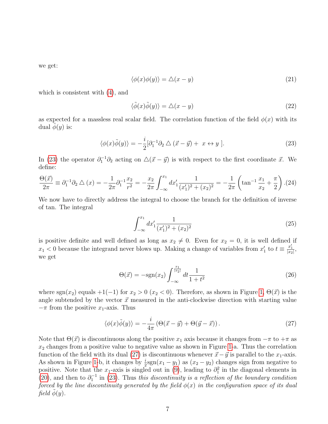we get:

$$
\langle \phi(x)\phi(y)\rangle = \triangle(x-y) \tag{21}
$$

which is consistent with [\(4\)](#page-3-2), and

$$
\langle \tilde{\phi}(x)\tilde{\phi}(y)\rangle = \triangle(x-y) \tag{22}
$$

as expected for a massless real scalar field. The correlation function of the field  $\phi(x)$  with its dual  $\phi(y)$  is:

<span id="page-6-0"></span>
$$
\langle \phi(x)\tilde{\phi}(y)\rangle = -\frac{i}{2} [\partial_1^{-1}\partial_2 \bigtriangleup (\vec{x} - \vec{y}) + x \leftrightarrow y]. \tag{23}
$$

In [\(23\)](#page-6-0) the operator  $\partial_1^{-1}\partial_2$  acting on  $\Delta(\vec{x}-\vec{y})$  is with respect to the first coordinate  $\vec{x}$ . We define:

$$
\frac{\Theta(\vec{x})}{2\pi} \equiv \partial_1^{-1}\partial_2 \triangle (x) = -\frac{1}{2\pi}\partial_1^{-1}\frac{x_2}{r^2} = -\frac{x_2}{2\pi} \int_{-\infty}^{x_1} dx_1' \frac{1}{(x_1')^2 + (x_2)^2} = -\frac{1}{2\pi} \left( \tan^{-1}\frac{x_1}{x_2} + \frac{\pi}{2} \right). (24)
$$

We now have to directly address the integral to choose the branch for the definition of inverse of tan. The integral

$$
\int_{-\infty}^{x_1} dx'_1 \frac{1}{(x'_1)^2 + (x_2)^2} \tag{25}
$$

is positive definite and well defined as long as  $x_2 \neq 0$ . Even for  $x_2 = 0$ , it is well defined if  $x_1$  < 0 because the integrand never blows up. Making a change of variables from  $x'_1$  to  $t \equiv \frac{x'_1}{|x_2|}$ , we get

$$
\Theta(\vec{x}) = -\text{sgn}(x_2) \int_{-\infty}^{\frac{x_1}{|x_2|}} dt \frac{1}{1+t^2}
$$
\n(26)

where sgn(x<sub>2</sub>) equals +1(−1) for  $x_2 > 0$  (x<sub>2</sub> < 0). Therefore, as shown in Figure [1,](#page-7-0)  $\Theta(\vec{x})$  is the angle subtended by the vector  $\vec{x}$  measured in the anti-clockwise direction with starting value  $-\pi$  from the positive  $x_1$ -axis. Thus

<span id="page-6-1"></span>
$$
\langle \phi(x)\tilde{\phi}(y)\rangle = -\frac{i}{4\pi} \left(\Theta(\vec{x} - \vec{y}) + \Theta(\vec{y} - \vec{x})\right). \tag{27}
$$

Note that  $\Theta(\vec{x})$  is discontinuous along the positive  $x_1$  axis because it changes from  $-\pi$  to  $+\pi$  as  $x_2$  changes from a positive value to negative value as shown in Figure [1-](#page-7-0)a. Thus the correlation function of the field with its dual [\(27\)](#page-6-1) is discontinuous whenever  $\vec{x}-\vec{y}$  is parallel to the x<sub>1</sub>-axis. As shown in Figure [1-](#page-7-0)b, it changes by  $\frac{i}{2}$ sgn $(x_1 - y_1)$  as  $(x_2 - y_2)$  changes sign from negative to positive. Note that the x<sub>1</sub>-axis is singled out in [\(9\)](#page-3-1), leading to  $\partial_1^2$  in the diagonal elements in [\(20\)](#page-5-2), and then to  $\partial_1^{-1}$  in [\(23\)](#page-6-0). Thus this discontinuity is a reflection of the boundary condition forced by the line discontinuity generated by the field  $\phi(x)$  in the configuration space of its dual field  $\phi(y)$ .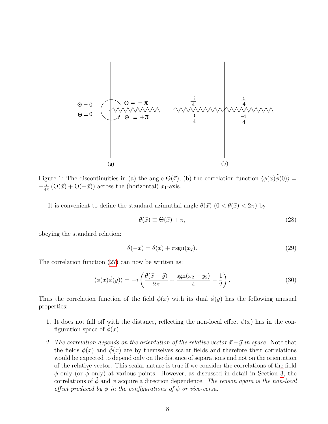

<span id="page-7-0"></span>Figure 1: The discontinuities in (a) the angle  $\Theta(\vec{x})$ , (b) the correlation function  $\langle \phi(x)\tilde{\phi}(0)\rangle =$  $-\frac{i}{4}$  $\frac{i}{4\pi}(\Theta(\vec{x}) + \Theta(-\vec{x}))$  across the (horizontal)  $x_1$ -axis.

It is convenient to define the standard azimuthal angle  $\theta(\vec{x})$   $(0 < \theta(\vec{x}) < 2\pi)$  by

$$
\theta(\vec{x}) \equiv \Theta(\vec{x}) + \pi,\tag{28}
$$

obeying the standard relation:

$$
\theta(-\vec{x}) = \theta(\vec{x}) + \pi \text{sgn}(x_2). \tag{29}
$$

The correlation function [\(27\)](#page-6-1) can now be written as:

$$
\langle \phi(x)\tilde{\phi}(y)\rangle = -i\left(\frac{\theta(\vec{x}-\vec{y})}{2\pi} + \frac{\text{sgn}(x_2 - y_2)}{4} - \frac{1}{2}\right). \tag{30}
$$

Thus the correlation function of the field  $\phi(x)$  with its dual  $\tilde{\phi}(y)$  has the following unusual properties:

- 1. It does not fall off with the distance, reflecting the non-local effect  $\phi(x)$  has in the configuration space of  $\phi(x)$ .
- 2. The correlation depends on the orientation of the relative vector  $\vec{x}-\vec{y}$  in space. Note that the fields  $\phi(x)$  and  $\phi(x)$  are by themselves scalar fields and therefore their correlations would be expected to depend only on the distance of separations and not on the orientation of the relative vector. This scalar nature is true if we consider the correlations of the field  $\phi$  only (or  $\phi$  only) at various points. However, as discussed in detail in Section [3,](#page-8-0) the correlations of  $\phi$  and  $\phi$  acquire a direction dependence. The reason again is the non-local effect produced by  $\phi$  in the configurations of  $\phi$  or vice-versa.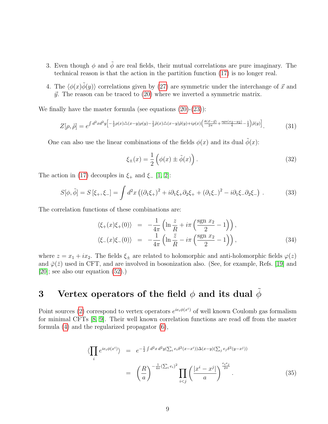- 3. Even though  $\phi$  and  $\tilde{\phi}$  are real fields, their mutual correlations are pure imaginary. The technical reason is that the action in the partition function [\(17\)](#page-5-1) is no longer real.
- 4. The  $\langle \phi(x)\phi(y)\rangle$  correlations given by [\(27\)](#page-6-1) are symmetric under the interchange of  $\vec{x}$  and  $\vec{y}$ . The reason can be traced to [\(20\)](#page-5-2) where we inverted a symmetric matrix.

We finally have the master formula (see equations  $(20)-(23)$  $(20)-(23)$  $(20)-(23)$ ):

<span id="page-8-2"></span>
$$
Z[\rho,\tilde{\rho}] = e^{\int d^2x d^2y \left[ -\frac{1}{2}\rho(x)\triangle(x-y)\rho(y) - \frac{1}{2}\tilde{\rho}(x)\triangle(x-y)\tilde{\rho}(y) + i\rho(x) \left( \frac{\theta(\vec{x}-\vec{y})}{2\pi} + \frac{\text{sgn}(x_2-y_2)}{4} - \frac{1}{2} \right) \tilde{\rho}(y) \right]}.
$$
(31)

One can also use the linear combinations of the fields  $\phi(x)$  and its dual  $\tilde{\phi}(x)$ :

$$
\xi_{\pm}(x) = \frac{1}{2} \left( \phi(x) \pm \tilde{\phi}(x) \right). \tag{32}
$$

The action in [\(17\)](#page-5-1) decouples in  $\xi_+$  and  $\xi_-$  [\[1,](#page-17-0) [2\]](#page-17-1):

$$
S[\phi,\tilde{\phi}] = S[\xi_{+},\xi_{-}] = \int d^{2}x \left( (\partial_{1}\xi_{+})^{2} + i\partial_{1}\xi_{+}\partial_{2}\xi_{+} + (\partial_{1}\xi_{-})^{2} - i\partial_{1}\xi_{-}\partial_{2}\xi_{-} \right). \tag{33}
$$

The correlation functions of these combinations are:

$$
\langle \xi_{+}(x)\xi_{+}(0) \rangle = -\frac{1}{4\pi} \left( \ln \frac{z}{R} + i\pi \left( \frac{\operatorname{sgn} x_{2}}{2} - 1 \right) \right), \n\langle \xi_{-}(x)\xi_{-}(0) \rangle = -\frac{1}{4\pi} \left( \ln \frac{\bar{z}}{R} - i\pi \left( \frac{\operatorname{sgn} x_{2}}{2} - 1 \right) \right),
$$
\n(34)

where  $z = x_1 + ix_2$ . The fields  $\xi_{\pm}$  are related to holomorphic and anti-holomorphic fields  $\varphi(z)$ and  $\bar{\varphi}(\bar{z})$  used in CFT, and are involved in bosonization also. (See, for example, Refs. [\[19\]](#page-18-6) and [\[20\]](#page-18-7); see also our equation [\(52\)](#page-11-0).)

## <span id="page-8-0"></span>3 Vertex operators of the field  $\phi$  and its dual  $\phi$

Point sources [\(2\)](#page-3-3) correspond to vertex operators  $e^{ie_i\phi(x^i)}$  of well known Coulomb gas formalism for minimal CFTs [\[8,](#page-17-7) [9\]](#page-17-8). Their well known correlation functions are read off from the master formula [\(4\)](#page-3-2) and the regularized propagator [\(6\)](#page-3-4),

<span id="page-8-1"></span>
$$
\langle \prod_{i} e^{ie_i \phi(x^i)} \rangle = e^{-\frac{1}{2} \int d^2 x \, d^2 y (\sum_i e_i \delta^2 (x - x^i)) \Delta (x - y) (\sum_j e_j \delta^2 (y - x^j))}
$$
\n
$$
= \left(\frac{R}{a}\right)^{-\frac{1}{4\pi} (\sum_i e_i)^2} \prod_{i < j} \left(\frac{|x^i - x^j|}{a}\right)^{\frac{e_i e_j}{2\pi}}.
$$
\n
$$
(35)
$$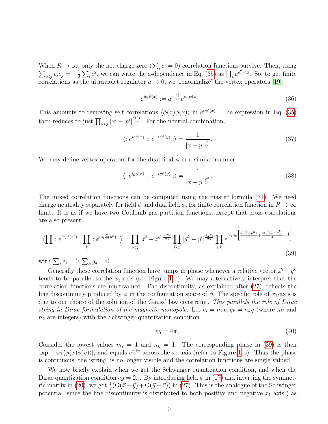When  $R \to \infty$ , only the net charge zero  $(\sum_i e_i = 0)$  correlation functions survive. Then, using  $\sum_{i < j} e_i e_j = -\frac{1}{2}$  $\frac{1}{2}\sum_i e_i^2$ , we can write the *a*-dependence in Eq. [\(35\)](#page-8-1) as  $\prod_i a^{e_i^2/4\pi}$ . So, to get finite correlations as the ultraviolet regulator  $a \to 0$ , we 'renormalize' the vertex operators [\[19\]](#page-18-6):

$$
:e^{ie_i\phi(x)} := a^{-\frac{e_i^2}{4\pi}}e^{ie_i\phi(x)}.
$$
\n(36)

This amounts to removing self correlations  $\langle \phi(x)\phi(x) \rangle$  in  $e^{ie\phi(x)}$ . The expression in Eq. [\(35\)](#page-8-1) then reduces to just  $\prod_{i < j} |x^i - x^j|^{\frac{e_i e_j}{2\pi}}$ . For the neutral combination,

$$
\langle :e^{ie\phi(x)}::e^{-ie\phi(y)}:\rangle = \frac{1}{|x-y|^{\frac{e^2}{2\pi}}}.
$$
\n(37)

We may define vertex operators for the dual field  $\tilde{\phi}$  in a similar manner:

$$
\langle :e^{ig\tilde{\phi}(x)}::e^{-ig\tilde{\phi}(y)}:\rangle = \frac{1}{|x-y|^{\frac{g^2}{2\pi}}}.
$$
\n(38)

The mixed correlation functions can be computed using the master formula [\(31\)](#page-8-2). We need charge neutrality separately for field  $\phi$  and dual field  $\phi$ , for finite correlation function in  $R \to \infty$ limit. It is as if we have two Coulomb gas partition functions, except that cross-correlations are also present:

<span id="page-9-0"></span>
$$
\langle \prod_i : e^{ie_i \phi(x^i)} : \prod_k : e^{ig_k \tilde{\phi}(y^k)} : \rangle = \prod_{i < j} |\vec{x}^i - \vec{x}^j|^{\frac{e_i e_j}{2\pi}} \prod_{k < l} |\vec{y}^k - \vec{y}^l|^{\frac{g_k g_l}{2\pi}} \prod_{i,k} e^{ie_i g_k \left[ \frac{\theta(\vec{x}^i - \vec{y}^k)}{2\pi} + \frac{\text{sgn}(x_2^i - y_2^k)}{4} - \frac{1}{2} \right]} \tag{39}
$$

with  $\sum_i e_i = 0, \sum_k g_k = 0.$ 

Generally these correlation function have jumps in phase whenever a relative vector  $\vec{x}^i - \vec{y}^k$ tends to be parallel to the  $x_1$ -axis (see Figure [1-](#page-7-0)b). We may alternatively interpret that the correlation functions are multivalued. The discontinuity, as explained after  $(27)$ , reflects the line discontinuity produced by  $\phi$  in the configuration space of  $\phi$ . The specific role of  $x_1$ -axis is due to our choice of the solution of the Gauss' law constraint. This parallels the role of Dirac string in Dirac formulation of the magnetic monopole. Let  $e_i = m_i e, g_k = n_k g$  (where  $m_i$  and  $n_k$  are integers) with the Schwinger quantization condition

$$
eg = 4\pi \tag{40}
$$

Consider the lowest values  $m_i = 1$  and  $n_k = 1$ . The corresponding phase in [\(39\)](#page-9-0) is then  $\exp[-4\pi \langle \phi(x)\tilde{\phi}(y)\rangle]$ , and equals  $e^{\pm i\pi}$  across the x<sub>1</sub>-axis (refer to Figure [1-](#page-7-0)b). Thus the phase is continuous, the 'string' is no longer visible and the correlation functions are single valued.

We now briefly explain when we get the Schwinger quantization condition, and when the Dirac quantization condition  $eg = 2\pi$ . By introducing field  $\phi$  in [\(17\)](#page-5-1) and inverting the symmet-ric matrix in [\(20\)](#page-5-2), we got  $\frac{1}{2}(\Theta(\vec{x}-\vec{y}) + \Theta(\vec{y}-\vec{x}))$  in [\(27\)](#page-6-1). This is the analogue of the Schwinger potential, since the line discontinuity is distributed to both positive and negative  $x_1$  axis (as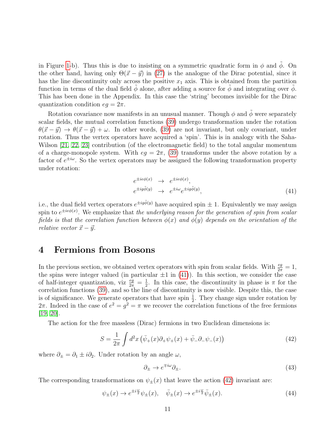in Figure [1-](#page-7-0)b). Thus this is due to insisting on a symmetric quadratic form in  $\phi$  and  $\phi$ . On the other hand, having only  $\Theta(\vec{x} - \vec{y})$  in [\(27\)](#page-6-1) is the analogue of the Dirac potential, since it has the line discontinuity only across the positive  $x_1$  axis. This is obtained from the partition function in terms of the dual field  $\phi$  alone, after adding a source for  $\phi$  and integrating over  $\phi$ . This has been done in the Appendix. In this case the 'string' becomes invisible for the Dirac quantization condition  $eg = 2\pi$ .

Rotation covariance now manifests in an unusual manner. Though  $\phi$  and  $\tilde{\phi}$  were separately scalar fields, the mutual correlation functions [\(39\)](#page-9-0) undergo transformation under the rotation  $\theta(\vec{x} - \vec{y}) \rightarrow \theta(\vec{x} - \vec{y}) + \omega$ . In other words, [\(39\)](#page-9-0) are not invariant, but only covariant, under rotation. Thus the vertex operators have acquired a 'spin'. This is in analogy with the Saha-Wilson [\[21,](#page-18-8) [22,](#page-18-9) [23\]](#page-18-10) contribution (of the electromagnetic field) to the total angular momentum of a charge-monopole system. With  $eg = 2\pi$ , [\(39\)](#page-9-0) transforms under the above rotation by a factor of  $e^{\pm i\omega}$ . So the vertex operators may be assigned the following transformation property under rotation:

<span id="page-10-1"></span>
$$
e^{\pm ie\phi(x)} \rightarrow e^{\pm ie\phi(x)},
$$
  
\n
$$
e^{\pm ig\tilde{\phi}(y)} \rightarrow e^{\pm i\omega}e^{\pm ig\tilde{\phi}(y)},
$$
\n(41)

i.e., the dual field vertex operators  $e^{\pm ig\tilde{\phi}(y)}$  have acquired spin  $\pm$  1. Equivalently we may assign spin to  $e^{\pm ie\phi(x)}$ . We emphasize that the underlying reason for the generation of spin from scalar fields is that the correlation function between  $\phi(x)$  and  $\phi(y)$  depends on the orientation of the relative vector  $\vec{x} - \vec{y}$ .

### <span id="page-10-0"></span>4 Fermions from Bosons

In the previous section, we obtained vertex operators with spin from scalar fields. With  $\frac{eg}{2\pi} = 1$ , the spins were integer valued (in particular  $\pm 1$  in [\(41\)](#page-10-1)). In this section, we consider the case of half-integer quantization, viz  $\frac{eg}{2\pi} = \frac{1}{2}$  $\frac{1}{2}$ . In this case, the discontinuity in phase is  $\pi$  for the correlation functions [\(39\)](#page-9-0), and so the line of discontinuity is now visible. Despite this, the case is of significance. We generate operators that have spin  $\frac{1}{2}$ . They change sign under rotation by 2π. Indeed in the case of  $e^2 = g^2 = \pi$  we recover the correlation functions of the free fermions [\[19,](#page-18-6) [20\]](#page-18-7).

The action for the free massless (Dirac) fermions in two Euclidean dimensions is:

<span id="page-10-2"></span>
$$
S = \frac{1}{2\pi} \int d^2x \left( \bar{\psi}_+(x)\partial_+ \psi_+(x) + \bar{\psi}_-\partial_- \psi_-(x) \right) \tag{42}
$$

where  $\partial_{\pm} = \partial_1 \pm i \partial_2$ . Under rotation by an angle  $\omega$ ,

$$
\partial_{\pm} \to e^{\mp i\omega} \partial_{\pm}.\tag{43}
$$

The corresponding transformations on  $\psi_{\pm}(x)$  that leave the action [\(42\)](#page-10-2) invariant are:

<span id="page-10-3"></span>
$$
\psi_{\pm}(x) \to e^{\pm i\frac{\omega}{2}} \psi_{\pm}(x), \quad \bar{\psi}_{\pm}(x) \to e^{\pm i\frac{\omega}{2}} \bar{\psi}_{\pm}(x). \tag{44}
$$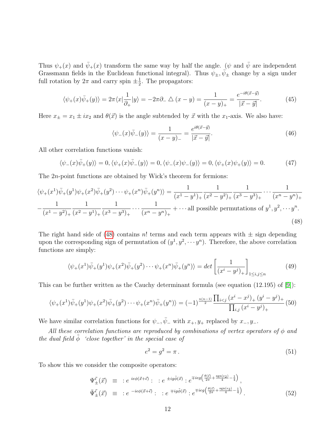Thus  $\psi_{+}(x)$  and  $\bar{\psi}_{+}(x)$  transform the same way by half the angle. ( $\psi$  and  $\bar{\psi}$  are independent Grassmann fields in the Euclidean functional integral). Thus  $\psi_{\pm}, \bar{\psi}_{\pm}$  change by a sign under full rotation by  $2\pi$  and carry spin  $\pm \frac{1}{2}$  $\frac{1}{2}$ . The propagators:

<span id="page-11-3"></span>
$$
\langle \psi_+(x)\bar{\psi}_+(y)\rangle = 2\pi \langle x|\frac{1}{\partial_+}|y\rangle = -2\pi \partial_-\bigtriangleup (x-y) = \frac{1}{(x-y)_+} = \frac{e^{-i\theta(\vec{x}-\vec{y})}}{|\vec{x}-\vec{y}|}.\tag{45}
$$

Here  $x_{\pm} = x_1 \pm ix_2$  and  $\theta(\vec{x})$  is the angle subtended by  $\vec{x}$  with the  $x_1$ -axis. We also have:

$$
\langle \psi_-(x)\bar{\psi}_-(y)\rangle = \frac{1}{(x-y)_-} = \frac{e^{i\theta(\vec{x}-\vec{y})}}{|\vec{x}-\vec{y}|}.\tag{46}
$$

All other correlation functions vanish:

$$
\langle \psi_-(x)\overline{\psi}_+(y)\rangle = 0, \langle \psi_+(x)\overline{\psi}_-(y)\rangle = 0, \langle \psi_-(x)\psi_-(y)\rangle = 0, \langle \psi_+(x)\psi_+(y)\rangle = 0.
$$
 (47)

The 2n-point functions are obtained by Wick's theorem for fermions:

<span id="page-11-1"></span>
$$
\langle \psi_+(x^1)\bar{\psi}_+(y^1)\psi_+(x^2)\bar{\psi}_+(y^2)\cdots\psi_+(x^n)\bar{\psi}_+(y^n)\rangle = \frac{1}{(x^1-y^1)_+}\frac{1}{(x^2-y^2)_+}\frac{1}{(x^3-y^3)_+}\cdots\frac{1}{(x^n-y^n)_+}
$$

$$
-\frac{1}{(x^1-y^2)_+}\frac{1}{(x^2-y^1)_+}\frac{1}{(x^3-y^3)_+}\cdots\frac{1}{(x^n-y^n)_+}+\cdots \text{all possible permutations of } y^1, y^2, \cdots y^n. \tag{48}
$$

The right hand side of [\(48\)](#page-11-1) contains n! terms and each term appears with  $\pm$  sign depending upon the corresponding sign of permutation of  $(y^1, y^2, \dots, y^n)$ . Therefore, the above correlation functions are simply:

$$
\langle \psi_+(x^1)\bar{\psi}_+(y^1)\psi_+(x^2)\bar{\psi}_+(y^2)\cdots\psi_+(x^n)\bar{\psi}_+(y^n)\rangle = \det\left[\frac{1}{(x^i-y^j)_+}\right]_{1\le i,j\le n}
$$
(49)

This can be further written as the Cauchy determinant formula (see equation (12.195) of [\[9\]](#page-17-8)):

<span id="page-11-4"></span>
$$
\langle \psi_+(x^1)\bar{\psi}_+(y^1)\psi_+(x^2)\bar{\psi}_+(y^2)\cdots\psi_+(x^n)\bar{\psi}_+(y^n)\rangle = (-1)^{\frac{n(n-1)}{2}}\frac{\prod_{i
$$

We have similar correlation functions for  $\psi_-, \bar{\psi}_-$  with  $x_+, y_+$  replaced by  $x_-, y_-.$ 

All these correlation functions are reproduced by combinations of vertex operators of  $\phi$  and the dual field  $\tilde{\phi}$  'close together' in the special case of

<span id="page-11-2"></span>
$$
e^2 = g^2 = \pi \,. \tag{51}
$$

To show this we consider the composite operators:

<span id="page-11-0"></span>
$$
\Psi_{\pm}^{\vec{\epsilon}}(\vec{x}) \equiv :e^{ie\phi(\vec{x}+\vec{\epsilon})}: :e^{\pm ig\tilde{\phi}(\vec{x})}:e^{\mp ie g\left(\frac{\theta(\vec{\epsilon})}{2\pi}+\frac{\text{sgn}(\epsilon_2)}{4}-\frac{1}{4}\right)},
$$
\n
$$
\bar{\Psi}_{\pm}^{\vec{\epsilon}}(\vec{x}) \equiv :e^{-ie\phi(\vec{x}+\vec{\epsilon})}: :e^{\mp ig\tilde{\phi}(\vec{x})}:e^{\mp ie g\left(\frac{\theta(\vec{\epsilon})}{2\pi}+\frac{\text{sgn}(\epsilon_2)}{4}-\frac{1}{4}\right)}.
$$
\n(52)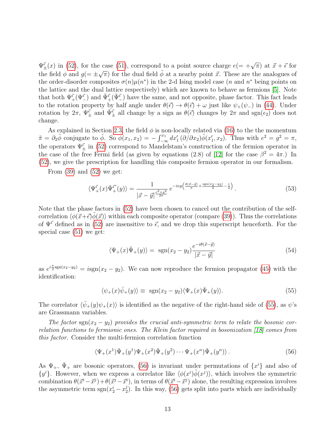$\Psi_{\pm}^{\vec{\epsilon}}(x)$  in [\(52\)](#page-11-0), for the case [\(51\)](#page-11-2), correspond to a point source charge  $e(=\pm\sqrt{\pi})$  at  $\vec{x}+\vec{\epsilon}$  for the field  $\phi$  and  $g(=\pm$  $\sqrt{\pi}$ ) for the dual field  $\phi$  at a nearby point  $\vec{x}$ . These are the analogues of the order-disorder composites  $\sigma(n)\mu(n^*)$  in the 2-d Ising model case (*n* and *n*<sup>\*</sup> being points on the lattice and the dual lattice respectively) which are known to behave as fermions [\[5\]](#page-17-4). Note that both  $\Psi^{\vec{\epsilon}}_+(\Psi^{\vec{\epsilon}}_-)$  and  $\bar{\Psi}^{\vec{\epsilon}}_+(\bar{\Psi}^{\vec{\epsilon}}_-)$  have the same, and not opposite, phase factor. This fact leads to the rotation property by half angle under  $\theta(\vec{\epsilon}) \to \theta(\vec{\epsilon}) + \omega$  just like  $\psi_+(\psi_-)$  in [\(44\)](#page-10-3). Under rotation by  $2\pi$ ,  $\Psi_{\pm}^{\vec{\epsilon}}$  and  $\Psi_{\pm}^{\vec{\epsilon}}$  all change by a sign as  $\theta(\vec{\epsilon})$  changes by  $2\pi$  and sgn $(\epsilon_2)$  does not change.

As explained in Section [2.3,](#page-4-1) the field  $\phi$  is non-locally related via [\(16\)](#page-4-5) to the the momentum  $\tilde{\pi} = \partial_2 \tilde{\phi}$  conjugate to  $\tilde{\phi}$ . So  $\phi(x_1, x_2) = -\int_{-\infty}^{x_1} dx'_1 (\partial/\partial x_2) \tilde{\phi}(x'_1, x_2)$ . Thus with  $e^2 = g^2 = \pi$ , the operators  $\Psi_{\pm}^{\vec{\epsilon}}$  in [\(52\)](#page-11-0) correspond to Mandelstam's construction of the fermion operator in the case of the free Fermi field (as given by equations (2.8) of [\[12\]](#page-17-11) for the case  $\beta^2 = 4\pi$ .) In [\(52\)](#page-11-0), we give the prescription for handling this composite fermion operator in our formalism.

From  $(39)$  and  $(52)$  we get:

$$
\langle \Psi_{+}^{\vec{\epsilon}}(x)\bar{\Psi}_{+}^{\vec{\epsilon}'}(y)\rangle = \frac{1}{|\vec{x}-\vec{y}|^{\frac{e^{2}+g^{2}}{2\pi}}}e^{-ieg\left(\frac{\theta(\vec{x}-\vec{y})}{\pi}+\frac{\text{sgn}(x_{2}-y_{2})}{2}-\frac{1}{2}\right)}.
$$
\n(53)

Note that the phase factors in [\(52\)](#page-11-0) have been chosen to cancel out the contribution of the selfcorrelation  $\langle \phi(\vec{x}+\vec{\epsilon})\phi(\vec{x})\rangle$  within each composite operator (compare [\(39\)](#page-9-0)). Thus the correlations of  $\Psi^{\vec{\epsilon}}$  defined as in [\(52\)](#page-11-0) are insensitive to  $\vec{\epsilon}$ , and we drop this superscript henceforth. For the special case [\(51\)](#page-11-2) we get:

$$
\langle \Psi_+(x)\bar{\Psi}_+(y)\rangle = \operatorname{sgn}(x_2 - y_2) \frac{e^{-i\theta(\vec{x}-\vec{y})}}{|\vec{x}-\vec{y}|}
$$
(54)

as  $e^{i\frac{\pi}{2}sgn(x_2-y_2)} = isgn(x_2-y_2)$ . We can now reproduce the fermion propagator [\(45\)](#page-11-3) with the identification:

<span id="page-12-0"></span>
$$
\langle \psi_+(x)\bar{\psi}_+(y)\rangle \equiv \text{ sgn}(x_2 - y_2)\langle \Psi_+(x)\bar{\Psi}_+(y)\rangle. \tag{55}
$$

The correlator  $\langle \bar{\psi}_+(y)\psi_+(x)\rangle$  is identified as the negative of the right-hand side of [\(55\)](#page-12-0), as  $\psi$ 's are Grassmann variables.

The factor sgn( $x_2 - y_2$ ) provides the crucial anti-symmetric term to relate the bosonic correlation functions to fermionic ones. The Klein factor required in bosonization [\[18\]](#page-18-5) comes from this factor. Consider the multi-fermion correlation function

<span id="page-12-1"></span>
$$
\langle \Psi_+(x^1)\bar{\Psi}_+(y^1)\Psi_+(x^2)\bar{\Psi}_+(y^2)\cdots\Psi_+(x^n)\bar{\Psi}_+(y^n)\rangle . \tag{56}
$$

As  $\Psi_+$ ,  $\bar{\Psi}_+$  are bosonic operators, [\(56\)](#page-12-1) is invariant under permutations of  $\{x^i\}$  and also of  $\{y^i\}$ . However, when we express a correlator like  $\langle \phi(x^i) \tilde{\phi}(x^j) \rangle$ , which involves the symmetric combination  $\theta(\vec{x}^i - \vec{x}^j) + \theta(\vec{x}^j - \vec{x}^i)$ , in terms of  $\theta(\vec{x}^i - \vec{x}^j)$  alone, the resulting expression involves the asymmetric term  $sgn(x_2^i - x_2^j)$  $2<sup>1</sup>$ ). In this way, [\(56\)](#page-12-1) gets split into parts which are individually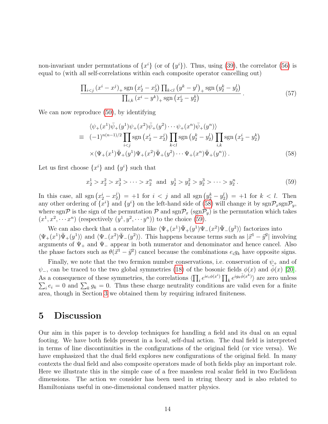non-invariant under permutations of  $\{x^{i}\}$  (or of  $\{y^{i}\}\$ ). Thus, using [\(39\)](#page-9-0), the correlator [\(56\)](#page-12-1) is equal to (with all self-correlations within each composite operator cancelling out)

$$
\frac{\prod_{i < j} (x^i - x^j)_+ \operatorname{sgn} (x_2^i - x_2^j) \prod_{k < l} (y^k - y^l)_+ \operatorname{sgn} (y_2^k - y_2^l)}{\prod_{i,k} (x^i - y^k)_+ \operatorname{sgn} (x_2^i - y_2^k)}.
$$
\n(57)

We can now reproduce  $(50)$ , by identifying

<span id="page-13-1"></span>
$$
\langle \psi_{+}(x^{1})\bar{\psi}_{+}(y^{1})\psi_{+}(x^{2})\bar{\psi}_{+}(y^{2})\cdots\psi_{+}(x^{n})\bar{\psi}_{+}(y^{n})\rangle
$$
  
\n
$$
\equiv (-1)^{n(n-1)/2} \prod_{i  
\n
$$
\times \langle \Psi_{+}(x^{1})\bar{\Psi}_{+}(y^{1})\Psi_{+}(x^{2})\bar{\Psi}_{+}(y^{2})\cdots\Psi_{+}(x^{n})\bar{\Psi}_{+}(y^{n})\rangle.
$$
 (58)
$$

Let us first choose  $\{x^i\}$  and  $\{y^i\}$  such that

<span id="page-13-2"></span> $x_2^1 > x_2^2 > x_2^3 > \cdots > x_2^n$  and  $y_2^1 > y_2^2 > y_2^3 > \cdots > y_2^n$ . (59)

In this case, all sgn  $\left(x_2^i - x_2^j\right)$  $\binom{1}{2} = +1$  for  $i < j$  and all sgn  $(y_2^k - y_2^l) = +1$  for  $k < l$ . Then any other ordering of  $\{x^i\}$  and  $\{y^i\}$  on the left-hand side of [\(58\)](#page-13-1) will change it by  $sgn \mathcal{P}_x sgn \mathcal{P}_y$ , where sgnP is the sign of the permutation P and  $sgn\mathcal{P}_x$  ( $sgn\mathcal{P}_y$ ) is the permutation which takes  $(x^1, x^2, \dots, x^n)$  (respectively  $(y^1, y^2, \dots, y^n)$ ) to the choice [\(59\)](#page-13-2).

We can also check that a correlator like  $\langle \Psi_+(x^1) \bar{\Psi}_+(y^1) \Psi_-(x^2) \bar{\Psi}_-(y^2) \rangle$  factorizes into  $\langle \Psi_+(x^1) \bar{\Psi}_+(y^1) \rangle$  and  $\langle \Psi_-(x^2) \bar{\Psi}_-(y^2) \rangle$ . This happens because terms such as  $|\vec{x}^1 - \vec{y}^2|$  involving arguments of  $\Psi_+$  and  $\Psi_-$  appear in both numerator and denominator and hence cancel. Also the phase factors such as  $\theta(\vec{x}^1 - \vec{y}^2)$  cancel because the combinations  $e_i g_k$  have opposite signs.

Finally, we note that the two fermion number conservations, i.e. conservation of  $\psi_+$  and of  $\psi$ <sub>-</sub>, can be traced to the two global symmetries [\(18\)](#page-5-3) of the bosonic fields  $\phi(x)$  and  $\tilde{\phi}(x)$  [\[20\]](#page-18-7). As a consequence of these symmetries, the correlations  $\langle \prod_i e^{ie_i \phi(x^i)} \prod_k e^{ig_k \tilde{\phi}(x^k)} \rangle$  are zero unless  $\sum_i e_i = 0$  and  $\sum_k g_k = 0$ . Thus these charge neutrality conditions are valid even for a finite area, though in Section [3](#page-8-0) we obtained them by requiring infrared finiteness.

### <span id="page-13-0"></span>5 Discussion

Our aim in this paper is to develop techniques for handling a field and its dual on an equal footing. We have both fields present in a local, self-dual action. The dual field is interpreted in terms of line discontinuities in the configurations of the original field (or vice versa). We have emphasized that the dual field explores new configurations of the original field. In many contexts the dual field and also composite operators made of both fields play an important role. Here we illustrate this in the simple case of a free massless real scalar field in two Euclidean dimensions. The action we consider has been used in string theory and is also related to Hamiltonians useful in one-dimensional condensed matter physics.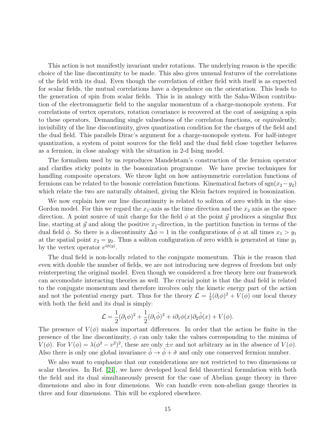This action is not manifestly invariant under rotations. The underlying reason is the specific choice of the line discontinuity to be made. This also gives unusual features of the correlations of the field with its dual. Even though the correlation of either field with itself is as expected for scalar fields, the mutual correlations have a dependence on the orientation. This leads to the generation of spin from scalar fields. This is in analogy with the Saha-Wilson contribution of the electromagnetic field to the angular momentum of a charge-monopole system. For correlations of vertex operators, rotation covariance is recovered at the cost of assigning a spin to these operators. Demanding single valuedness of the correlaton functions, or equivalently, invisibility of the line discontinuity, gives quantization condition for the charges of the field and the dual field. This parallels Dirac's argument for a charge-monopole system. For half-integer quantization, a system of point sources for the field and the dual field close together behaves as a fermion, in close analogy with the situation in 2-d Ising model.

The formalism used by us reproduces Mandelstam's construction of the fermion operator and clarifies sticky points in the bosonization programme. We have precise techniques for handling composite operators. We throw light on how antisymmetric correlation functions of fermions can be related to the bosonic correlation functions. Kinematical factors of sgn( $x_2-y_2$ ) which relate the two are naturally obtained, giving the Klein factors required in bosonization.

We now explain how our line discontinuity is related to soliton of zero width in the sine-Gordon model. For this we regard the  $x_1$ -axis as the time direction and the  $x_2$  axis as the space direction. A point source of unit charge for the field  $\phi$  at the point  $\vec{y}$  produces a singular flux line, starting at  $\vec{y}$  and along the positive  $x_1$ -direction, in the partition function in terms of the dual field  $\phi$ . So there is a discontinuity  $\Delta \phi = 1$  in the configurations of  $\phi$  at all times  $x_1 > y_1$ at the spatial point  $x_2 = y_2$ . Thus a soliton configuration of zero width is generated at time  $y_1$ by the vertex operator  $e^{i\phi(y)}$ .

The dual field is non-locally related to the conjugate momentum. This is the reason that even with double the number of fields, we are not introducing new degrees of freedom but only reinterpreting the original model. Even though we considered a free theory here our framework can accomodate interacting theories as well. The crucial point is that the dual field is related to the conjugate momentum and therefore involves only the kinetic energy part of the action and not the potential energy part. Thus for the theory  $\mathcal{L} = \frac{1}{2}$  $\frac{1}{2}(\partial_i \phi)^2 + V(\phi)$  our local theory with both the field and its dual is simply:

$$
\mathcal{L} = \frac{1}{2}(\partial_1 \phi)^2 + \frac{1}{2}(\partial_1 \tilde{\phi})^2 + i \partial_1 \phi(x) \partial_2 \tilde{\phi}(x) + V(\phi).
$$

The presence of  $V(\phi)$  makes important differences. In order that the action be finite in the presence of the line discontinuity,  $\phi$  can only take the values corresponding to the minima of  $V(\phi)$ . For  $V(\phi) = \lambda(\phi^2 - v^2)^2$ , these are only  $\pm v$  and not arbitrary as in the absence of  $V(\phi)$ . Also there is only one global invariance  $\tilde{\phi} \to \tilde{\phi} + \tilde{\sigma}$  and only one conserved fermion number.

We also want to emphasize that our considerations are not restricted to two dimensions or scalar theories. In Ref. [\[24\]](#page-18-11), we have developed local field theoretical formulation with both the field and its dual simultaneously present for the case of Abelian gauge theory in three dimensions and also in four dimensions. We can handle even non-abelian gauge theories in three and four dimensions. This will be explored elsewhere.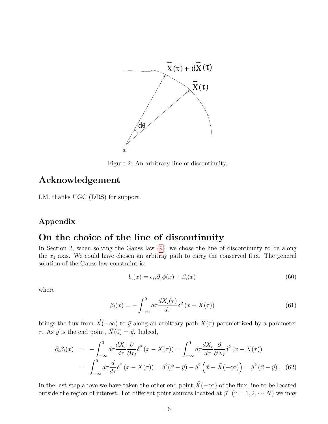

<span id="page-15-1"></span>Figure 2: An arbitrary line of discontinuity.

### Acknowledgement

I.M. thanks UGC (DRS) for support.

### Appendix

### On the choice of the line of discontinuity

In Section 2, when solving the Gauss law [\(9\)](#page-3-1), we chose the line of discontinuity to be along the  $x_1$  axis. We could have chosen an arbitray path to carry the conserved flux. The general solution of the Gauss law constraint is:

<span id="page-15-0"></span>
$$
b_i(x) = \epsilon_{ij}\partial_j \tilde{\phi}(x) + \beta_i(x) \tag{60}
$$

where

$$
\beta_i(x) = -\int_{-\infty}^0 d\tau \frac{dX_i(\tau)}{d\tau} \delta^2(x - X(\tau)) \tag{61}
$$

brings the flux from  $\vec{X}(-\infty)$  to  $\vec{y}$  along an arbitrary path  $\vec{X}(\tau)$  parametrized by a parameter  $\tau$ . As  $\vec{y}$  is the end point,  $\vec{X}(0) = \vec{y}$ . Indeed,

$$
\partial_i \beta_i(x) = -\int_{-\infty}^0 d\tau \frac{dX_i}{d\tau} \frac{\partial}{\partial x_i} \delta^2(x - X(\tau)) = \int_{-\infty}^0 d\tau \frac{dX_i}{d\tau} \frac{\partial}{\partial X_i} \delta^2(x - X(\tau))
$$

$$
= \int_{-\infty}^0 d\tau \frac{d}{d\tau} \delta^2(x - X(\tau)) = \delta^2(\vec{x} - \vec{y}) - \delta^2(\vec{x} - \vec{X}(-\infty)) = \delta^2(\vec{x} - \vec{y}). \tag{62}
$$

In the last step above we have taken the other end point  $\vec{X}(-\infty)$  of the flux line to be located outside the region of interest. For different point sources located at  $\vec{y}^r$   $(r = 1, 2, \cdots N)$  we may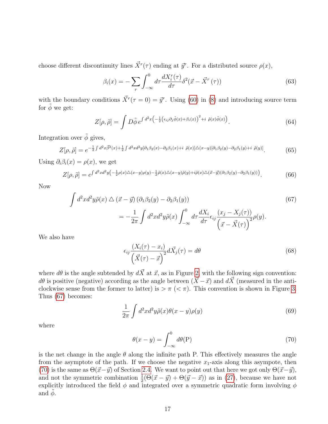choose different discontinuity lines  $\vec{X}^r(\tau)$  ending at  $\vec{y}^r$ . For a distributed source  $\rho(x)$ ,

$$
\beta_i(x) = -\sum_r \int_{-\infty}^0 d\tau \frac{dX_i^r(\tau)}{d\tau} \delta^2(\vec{x} - \vec{X}^r(\tau)) \tag{63}
$$

with the boundary conditions  $\vec{X}^r(\tau=0) = \vec{y}^r$ . Using [\(60\)](#page-15-0) in [\(8\)](#page-3-5) and introducing source term for  $\phi$  we get:

$$
Z[\rho,\tilde{\rho}] = \int D\tilde{\phi} e^{\int d^2x \left(-\frac{1}{2} \left(\epsilon_{ij}\partial_j\tilde{\phi}(x) + \beta_i(x)\right)^2 + i \ \tilde{\rho}(x)\tilde{\phi}(x)\right)}.
$$
 (64)

Integration over  $\tilde{\phi}$  gives,

$$
Z[\rho,\tilde{\rho}] = e^{-\frac{1}{2}\int d^2x \tilde{\beta}^2(x) + \frac{1}{2}\int d^2x d^2y [\partial_1\beta_2(x) - \partial_2\beta_1(x) + i \tilde{\rho}(x)] \Delta(x-y) [\partial_1\beta_2(y) - \partial_2\beta_1(y) + i \tilde{\rho}(y)]}.
$$
(65)

Using  $\partial_i \beta_i(x) = \rho(x)$ , we get

$$
Z[\rho,\tilde{\rho}] = e^{\int d^2x d^2y \left(-\frac{1}{2}\rho(x)\triangle(x-y)\rho(y) - \frac{1}{2}\tilde{\rho}(x)\triangle(x-y)\tilde{\rho}(y) + i\tilde{\rho}(x)\triangle(\vec{x}-\vec{y})(\partial_1\beta_2(y) - \partial_2\beta_1(y))\right)}.
$$
(66)

Now

<span id="page-16-0"></span>
$$
\int d^2x d^2y \tilde{\rho}(x) \triangle (\vec{x} - \vec{y}) (\partial_1 \beta_2(y) - \partial_2 \beta_1(y))
$$
\n
$$
= -\frac{1}{2\pi} \int d^2x d^2y \tilde{\rho}(x) \int_{-\infty}^0 d\tau \frac{dX_i}{d\tau} \epsilon_{ij} \frac{(x_j - X_j(\tau))}{(\vec{x} - \vec{X}(\tau))} \rho(y).
$$
\n(67)

We also have

<span id="page-16-2"></span>
$$
\epsilon_{ij} \frac{(X_i(\tau) - x_i)}{(\vec{X}(\tau) - \vec{x})^2} d\vec{X}_j(\tau) = d\theta \tag{68}
$$

where  $d\theta$  is the angle subtended by  $d\vec{X}$  at  $\vec{x}$ , as in Figure [2,](#page-15-1) with the following sign convention:  $d\theta$  is positive (negative) according as the angle between  $(\vec{X}-\vec{x})$  and  $d\vec{X}$  (measured in the anticlockwise sense from the former to latter) is  $>\pi$  (<  $\pi$ ). This convention is shown in Figure [3.](#page-17-12) Thus [\(67\)](#page-16-0) becomes:

$$
\frac{1}{2\pi} \int d^2x d^2y \tilde{\rho}(x) \theta(x-y) \rho(y) \tag{69}
$$

where

<span id="page-16-1"></span>
$$
\theta(x - y) = \int_{-\infty}^{0} d\theta(\mathbf{P})
$$
\n(70)

is the net change in the angle  $\theta$  along the infinite path P. This effectively measures the angle from the asymptote of the path. If we choose the negative  $x_1$ -axis along this asymptoe, then [\(70\)](#page-16-1) is the same as  $\Theta(\vec{x}-\vec{y})$  of Section [2.4.](#page-5-0) We want to point out that here we got only  $\Theta(\vec{x}-\vec{y}),$ and not the symmetric combination  $\frac{1}{2}(\Theta(\vec{x} - \vec{y}) + \Theta(\vec{y} - \vec{x}))$  as in [\(27\)](#page-6-1), because we have not explicitly introduced the field  $\phi$  and integrated over a symmetric quadratic form involving  $\phi$ and  $\phi$ .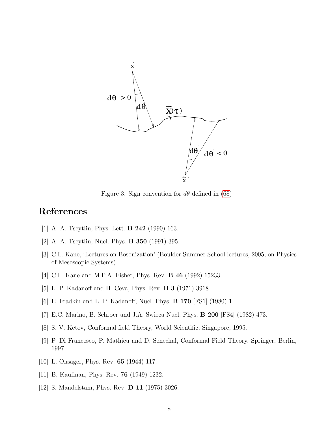

<span id="page-17-12"></span>Figure 3: Sign convention for  $d\theta$  defined in [\(68\)](#page-16-2)

# References

- <span id="page-17-0"></span>[1] A. A. Tseytlin, Phys. Lett. B 242 (1990) 163.
- <span id="page-17-1"></span>[2] A. A. Tseytlin, Nucl. Phys. B 350 (1991) 395.
- <span id="page-17-2"></span>[3] C.L. Kane, 'Lectures on Bosonization' (Boulder Summer School lectures, 2005, on Physics of Mesoscopic Systems).
- <span id="page-17-3"></span>[4] C.L. Kane and M.P.A. Fisher, Phys. Rev. **B 46** (1992) 15233.
- <span id="page-17-4"></span>[5] L. P. Kadanoff and H. Ceva, Phys. Rev. B 3 (1971) 3918.
- <span id="page-17-5"></span>[6] E. Fradkin and L. P. Kadanoff, Nucl. Phys. B 170 [FS1] (1980) 1.
- <span id="page-17-6"></span>[7] E.C. Marino, B. Schroer and J.A. Swieca Nucl. Phys. B 200 [FS4] (1982) 473.
- <span id="page-17-7"></span>[8] S. V. Ketov, Conformal field Theory, World Scientific, Singapore, 1995.
- <span id="page-17-8"></span>[9] P. Di Francesco, P. Mathieu and D. Senechal, Conformal Field Theory, Springer, Berlin, 1997.
- <span id="page-17-9"></span>[10] L. Onsager, Phys. Rev. **65** (1944) 117.
- <span id="page-17-10"></span>[11] B. Kaufman, Phys. Rev. 76 (1949) 1232.
- <span id="page-17-11"></span>[12] S. Mandelstam, Phys. Rev. D 11 (1975) 3026.